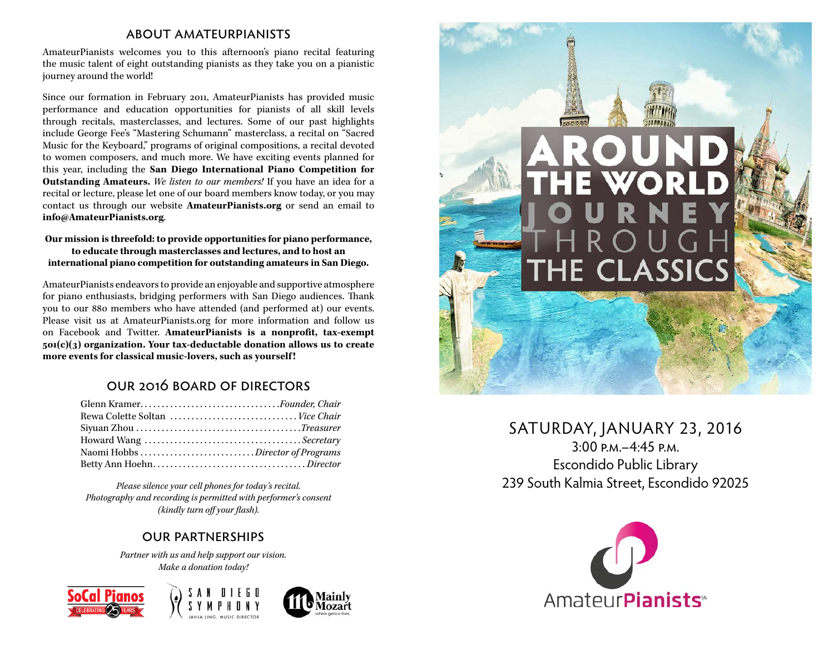### about amateurpianists

AmateurPianists welcomes you to this afternoon's piano recital featuring the music talent of eight outstanding pianists as they take you on a pianistic journey around the world!

Since our formation in February 2011, AmateurPianists has provided music performance and education opportunities for pianists of all skill levels through recitals, masterclasses, and lectures. Some of our past highlights include George Fee's "Mastering Schumann" masterclass, a recital on "Sacred Music for the Keyboard," programs of original compositions, a recital devoted to women composers, and much more. We have exciting events planned for this year, including the **San Diego International Piano Competition for Outstanding Amateurs.** *We listen to our members!* If you have an idea for a recital or lecture, please let one of our board members know today, or you may contact us through our website **AmateurPianists.org** or send an email to **info@AmateurPianists.org**.

#### **Our mission is threefold: to provide opportunities for piano performance, to educate through masterclasses and lectures, and to host an international piano competition for outstanding amateurs in San Diego.**

AmateurPianists endeavors to provide an enjoyable and supportive atmosphere for piano enthusiasts, bridging performers with San Diego audiences. Thank you to our 880 members who have attended (and performed at) our events. Please visit us at AmateurPianists.org for more information and follow us on Facebook and Twitter. **AmateurPianists is a nonprofit, tax-exempt 501(c)(3) organization. Your tax-deductable donation allows us to create more events for classical music-lovers, such as yourself !**

### our 2016 board of directors

| Glenn KramerFounder. Chair      |  |
|---------------------------------|--|
| Rewa Colette Soltan  Vice Chair |  |
|                                 |  |
|                                 |  |
|                                 |  |
|                                 |  |

*Please silence your cell phones for today's recital. Photography and recording is permitted with performer's consent (kindly turn off your flash).*

### our partnerships

*Partner with us and help support our vision. Make a donation today!*









## SATURDAY, JANUARY 23, 2016

3:00 p.m.–4:45 p.m. Escondido Public Library 239 South Kalmia Street, Escondido 92025